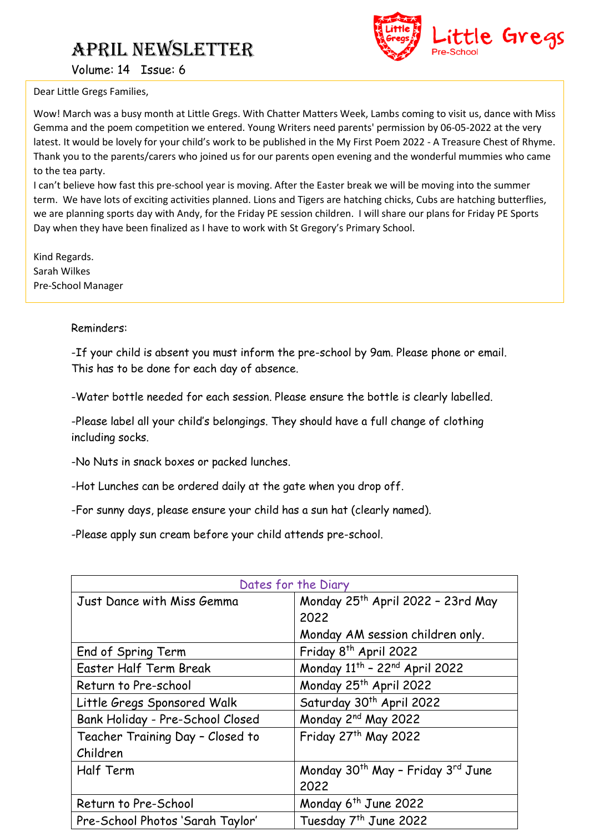

Volume: 14 Issue: 6

Dear Little Gregs Families,

Wow! March was a busy month at Little Gregs. With Chatter Matters Week, Lambs coming to visit us, dance with Miss Gemma and the poem competition we entered. Young Writers need parents' permission by 06-05-2022 at the very latest. It would be lovely for your child's work to be published in the My First Poem 2022 - A Treasure Chest of Rhyme. Thank you to the parents/carers who joined us for our parents open evening and the wonderful mummies who came to the tea party.

I can't believe how fast this pre-school year is moving. After the Easter break we will be moving into the summer term. We have lots of exciting activities planned. Lions and Tigers are hatching chicks, Cubs are hatching butterflies, we are planning sports day with Andy, for the Friday PE session children. I will share our plans for Friday PE Sports Day when they have been finalized as I have to work with St Gregory's Primary School.

Kind Regards. Sarah Wilkes Pre-School Manager

### Reminders:

-If your child is absent you must inform the pre-school by 9am. Please phone or email. This has to be done for each day of absence.

-Water bottle needed for each session. Please ensure the bottle is clearly labelled.

-Please label all your child's belongings. They should have a full change of clothing including socks.

-No Nuts in snack boxes or packed lunches.

-Hot Lunches can be ordered daily at the gate when you drop off.

-For sunny days, please ensure your child has a sun hat (clearly named).

-Please apply sun cream before your child attends pre-school.

| Dates for the Diary              |                                                           |
|----------------------------------|-----------------------------------------------------------|
| Just Dance with Miss Gemma       | Monday 25th April 2022 - 23rd May                         |
|                                  | 2022                                                      |
|                                  | Monday AM session children only.                          |
| End of Spring Term               | Friday 8 <sup>th</sup> April 2022                         |
| Easter Half Term Break           | Monday 11 <sup>th</sup> - 22 <sup>nd</sup> April 2022     |
| Return to Pre-school             | Monday 25 <sup>th</sup> April 2022                        |
| Little Gregs Sponsored Walk      | Saturday 30 <sup>th</sup> April 2022                      |
| Bank Holiday - Pre-School Closed | Monday 2 <sup>nd</sup> May 2022                           |
| Teacher Training Day - Closed to | Friday 27th May 2022                                      |
| Children                         |                                                           |
| Half Term                        | Monday 30 <sup>th</sup> May - Friday 3 <sup>rd</sup> June |
|                                  | 2022                                                      |
| Return to Pre-School             | Monday 6 <sup>th</sup> June 2022                          |
| Pre-School Photos 'Sarah Taylor' | Tuesday 7 <sup>th</sup> June 2022                         |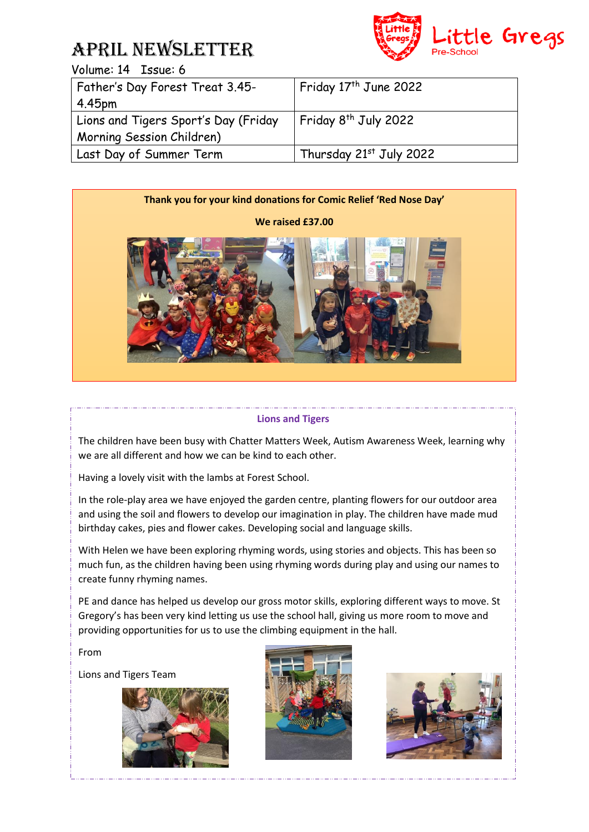

| <b>Father's Day Forest Treat 3.45-</b> | Friday 17 <sup>th</sup> June 2022 |
|----------------------------------------|-----------------------------------|
| 4.45 <sub>pm</sub>                     |                                   |
| Lions and Tigers Sport's Day (Friday   | Friday 8 <sup>th</sup> July 2022  |
| Morning Session Children)              |                                   |
| Last Day of Summer Term                | Thursday 21st July 2022           |



#### **Lions and Tigers**

The children have been busy with Chatter Matters Week, Autism Awareness Week, learning why we are all different and how we can be kind to each other.

 $\mathbb{R}$ Having a lovely visit with the lambs at Forest School.

In the role-play area we have enjoyed the garden centre, planting flowers for our outdoor area and using the soil and flowers to develop our imagination in play. The children have made mud birthday cakes, pies and flower cakes. Developing social and language skills.

With Helen we have been exploring rhyming words, using stories and objects. This has been so much fun, as the children having been using rhyming words during play and using our names to create funny rhyming names.

PE and dance has helped us develop our gross motor skills, exploring different ways to move. St Gregory's has been very kind letting us use the school hall, giving us more room to move and providing opportunities for us to use the climbing equipment in the hall.

From

Lions and Tigers Team





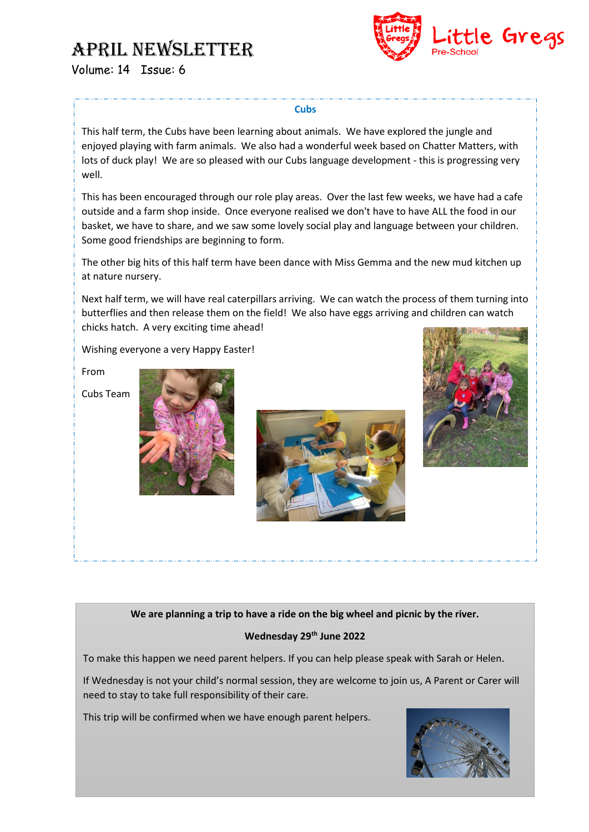

#### **Cubs**

This half term, the Cubs have been learning about animals. We have explored the jungle and enjoyed playing with farm animals. We also had a wonderful week based on Chatter Matters, with lots of duck play! We are so pleased with our Cubs language development - this is progressing very well.

This has been encouraged through our role play areas. Over the last few weeks, we have had a cafe outside and a farm shop inside. Once everyone realised we don't have to have ALL the food in our basket, we have to share, and we saw some lovely social play and language between your children. Some good friendships are beginning to form.

The other big hits of this half term have been dance with Miss Gemma and the new mud kitchen up at nature nursery.

Next half term, we will have real caterpillars arriving. We can watch the process of them turning into butterflies and then release them on the field! We also have eggs arriving and children can watch chicks hatch. A very exciting time ahead!

Wishing everyone a very Happy Easter!

From







### **We are planning a trip to have a ride on the big wheel and picnic by the river.**

### **Wednesday 29th June 2022**

To make this happen we need parent helpers. If you can help please speak with Sarah or Helen.

If Wednesday is not your child's normal session, they are welcome to join us, A Parent or Carer will need to stay to take full responsibility of their care.

This trip will be confirmed when we have enough parent helpers.